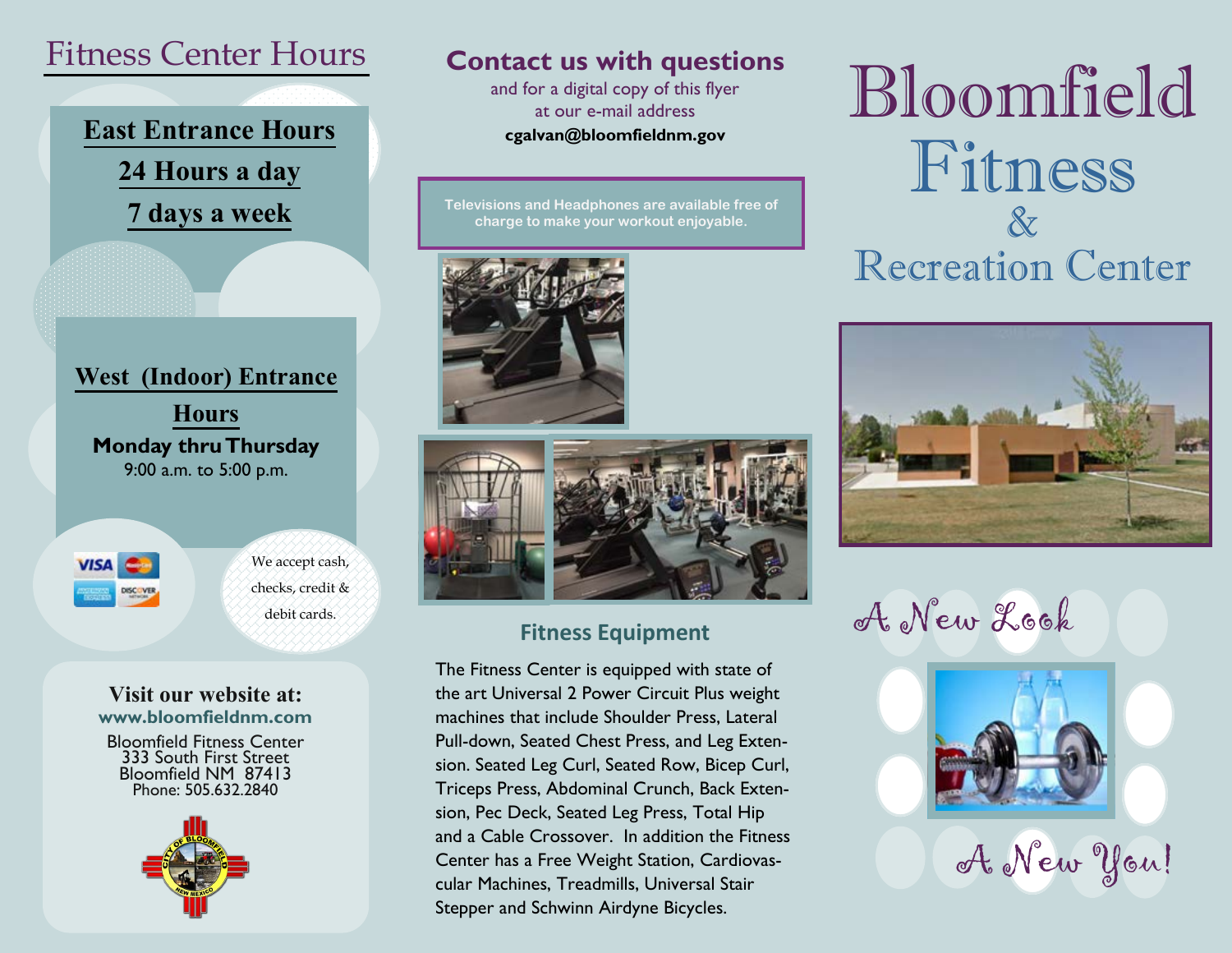## Fitness Center Hours

# **East Entrance Hours 24 Hours a day 7 days a week**

**West (Indoor) Entrance Hours Monday thru Thursday** 9:00 a.m. to 5:00 p.m.



#### **Visit our website at: www.bloomfieldnm.com**

Bloomfield Fitness Center 333 South First Street Bloomfield NM 87413 Phone: 505.632.2840



### **Contact us with questions**

and for a digital copy of this flyer at our e-mail address **cgalvan@bloomfieldnm.gov** 

**Televisions and Headphones are available free of charge to make your workout enjoyable.**





#### **Fitness Equipment**

The Fitness Center is equipped with state of the art Universal 2 Power Circuit Plus weight machines that include Shoulder Press, Lateral Pull-down, Seated Chest Press, and Leg Extension. Seated Leg Curl, Seated Row, Bicep Curl, Triceps Press, Abdominal Crunch, Back Extension, Pec Deck, Seated Leg Press, Total Hip and a Cable Crossover. In addition the Fitness Center has a Free Weight Station, Cardiovascular Machines, Treadmills, Universal Stair Stepper and Schwinn Airdyne Bicycles.

# Bloomfield Fitness & Recreation Center



debit cards.  $M$  curves  $\mathcal{A}_s$  New Look